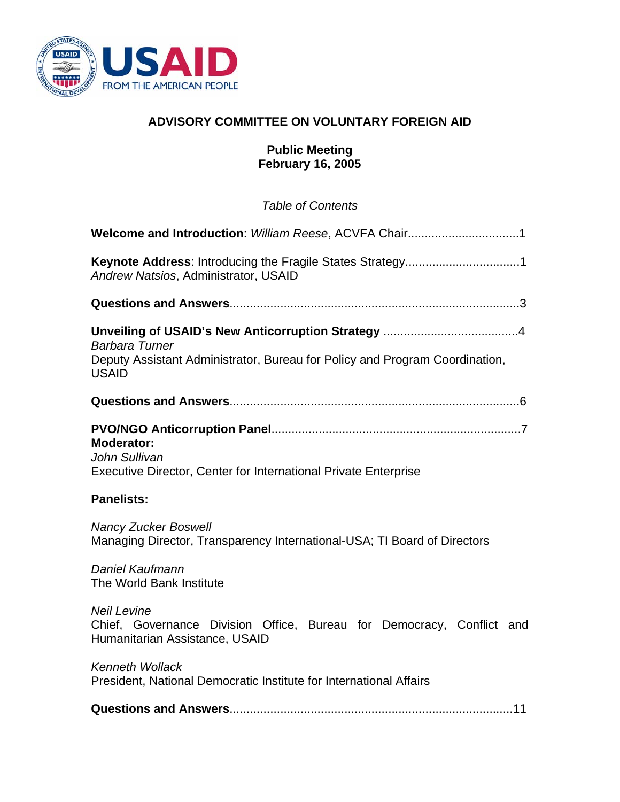

# **ADVISORY COMMITTEE ON VOLUNTARY FOREIGN AID**

### **Public Meeting February 16, 2005**

*Table of Contents* 

| Andrew Natsios, Administrator, USAID                                                                                          |
|-------------------------------------------------------------------------------------------------------------------------------|
|                                                                                                                               |
| <b>Barbara Turner</b><br>Deputy Assistant Administrator, Bureau for Policy and Program Coordination,<br><b>USAID</b>          |
|                                                                                                                               |
| <b>Moderator:</b><br>John Sullivan<br><b>Executive Director, Center for International Private Enterprise</b>                  |
|                                                                                                                               |
| <b>Panelists:</b>                                                                                                             |
| <b>Nancy Zucker Boswell</b><br>Managing Director, Transparency International-USA; TI Board of Directors                       |
| Daniel Kaufmann<br>The World Bank Institute                                                                                   |
| <b>Neil Levine</b><br>Chief, Governance Division Office, Bureau for Democracy, Conflict and<br>Humanitarian Assistance, USAID |
| <b>Kenneth Wollack</b><br>President, National Democratic Institute for International Affairs                                  |
|                                                                                                                               |
|                                                                                                                               |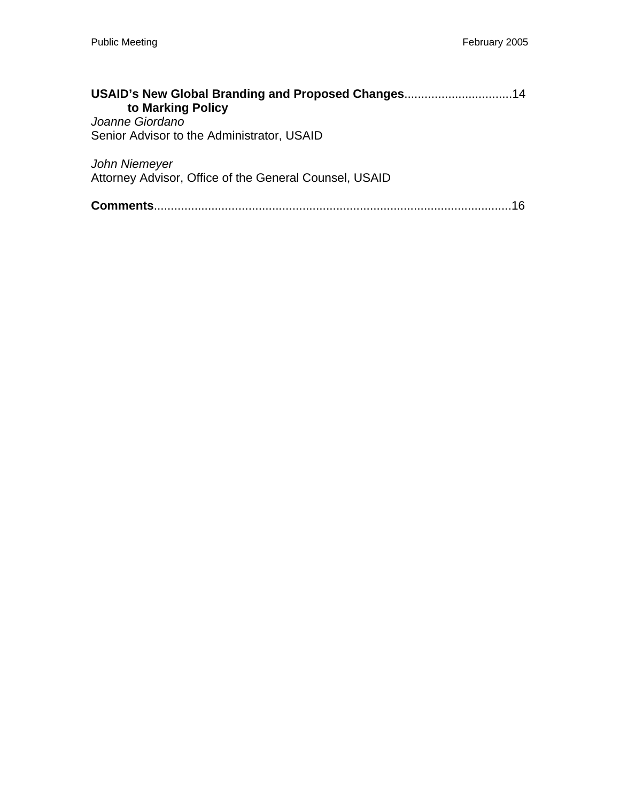| USAID's New Global Branding and Proposed Changes14     |  |
|--------------------------------------------------------|--|
| to Marking Policy                                      |  |
| Joanne Giordano                                        |  |
| Senior Advisor to the Administrator, USAID             |  |
| John Niemeyer                                          |  |
| Attorney Advisor, Office of the General Counsel, USAID |  |
| Comments.                                              |  |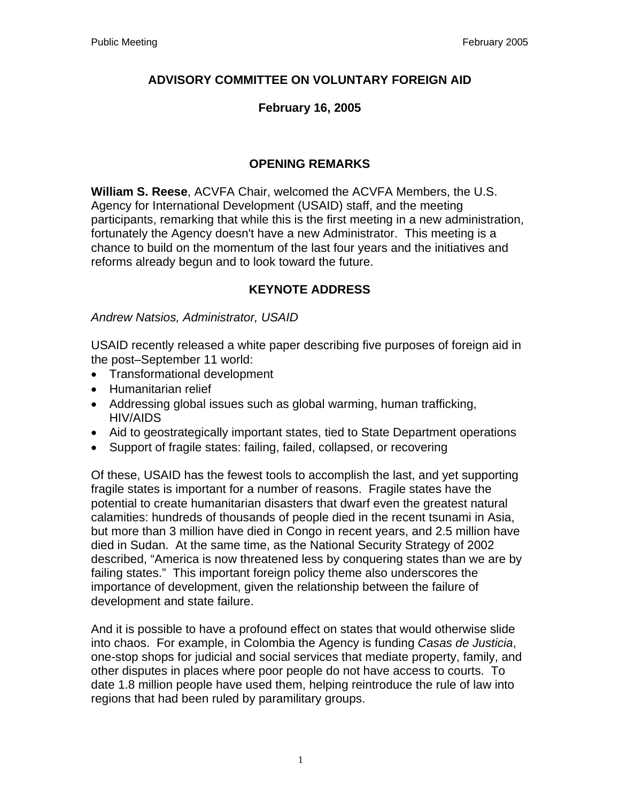## **ADVISORY COMMITTEE ON VOLUNTARY FOREIGN AID**

## **February 16, 2005**

## **OPENING REMARKS**

**William S. Reese**, ACVFA Chair, welcomed the ACVFA Members, the U.S. Agency for International Development (USAID) staff, and the meeting participants, remarking that while this is the first meeting in a new administration, fortunately the Agency doesn't have a new Administrator. This meeting is a chance to build on the momentum of the last four years and the initiatives and reforms already begun and to look toward the future.

# **KEYNOTE ADDRESS**

### *Andrew Natsios, Administrator, USAID*

USAID recently released a white paper describing five purposes of foreign aid in the post–September 11 world:

- Transformational development
- Humanitarian relief
- Addressing global issues such as global warming, human trafficking, HIV/AIDS
- Aid to geostrategically important states, tied to State Department operations
- Support of fragile states: failing, failed, collapsed, or recovering

Of these, USAID has the fewest tools to accomplish the last, and yet supporting fragile states is important for a number of reasons. Fragile states have the potential to create humanitarian disasters that dwarf even the greatest natural calamities: hundreds of thousands of people died in the recent tsunami in Asia, but more than 3 million have died in Congo in recent years, and 2.5 million have died in Sudan. At the same time, as the National Security Strategy of 2002 described, "America is now threatened less by conquering states than we are by failing states." This important foreign policy theme also underscores the importance of development, given the relationship between the failure of development and state failure.

And it is possible to have a profound effect on states that would otherwise slide into chaos. For example, in Colombia the Agency is funding *Casas de Justicia*, one-stop shops for judicial and social services that mediate property, family, and other disputes in places where poor people do not have access to courts. To date 1.8 million people have used them, helping reintroduce the rule of law into regions that had been ruled by paramilitary groups.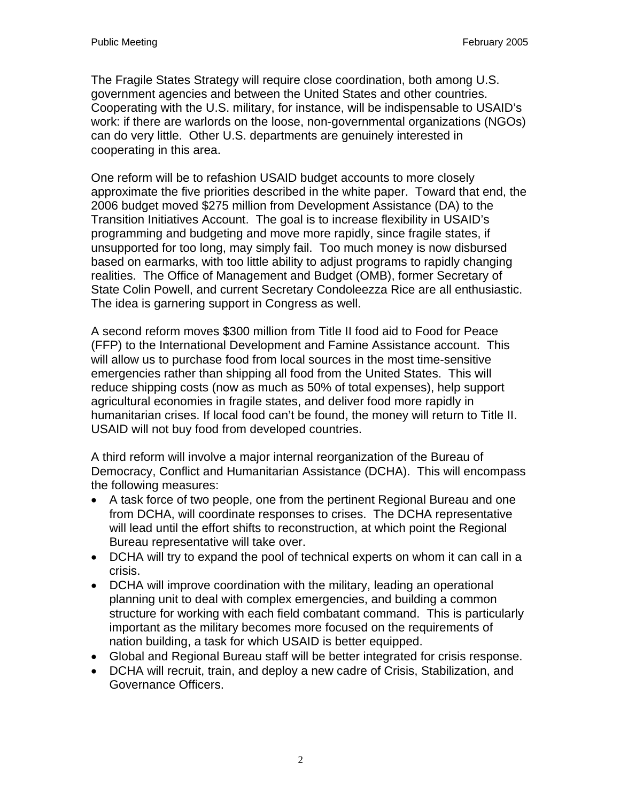The Fragile States Strategy will require close coordination, both among U.S. government agencies and between the United States and other countries. Cooperating with the U.S. military, for instance, will be indispensable to USAID's work: if there are warlords on the loose, non-governmental organizations (NGOs) can do very little. Other U.S. departments are genuinely interested in cooperating in this area.

One reform will be to refashion USAID budget accounts to more closely approximate the five priorities described in the white paper. Toward that end, the 2006 budget moved \$275 million from Development Assistance (DA) to the Transition Initiatives Account. The goal is to increase flexibility in USAID's programming and budgeting and move more rapidly, since fragile states, if unsupported for too long, may simply fail. Too much money is now disbursed based on earmarks, with too little ability to adjust programs to rapidly changing realities. The Office of Management and Budget (OMB), former Secretary of State Colin Powell, and current Secretary Condoleezza Rice are all enthusiastic. The idea is garnering support in Congress as well.

A second reform moves \$300 million from Title II food aid to Food for Peace (FFP) to the International Development and Famine Assistance account. This will allow us to purchase food from local sources in the most time-sensitive emergencies rather than shipping all food from the United States. This will reduce shipping costs (now as much as 50% of total expenses), help support agricultural economies in fragile states, and deliver food more rapidly in humanitarian crises. If local food can't be found, the money will return to Title II. USAID will not buy food from developed countries.

A third reform will involve a major internal reorganization of the Bureau of Democracy, Conflict and Humanitarian Assistance (DCHA). This will encompass the following measures:

- A task force of two people, one from the pertinent Regional Bureau and one from DCHA, will coordinate responses to crises. The DCHA representative will lead until the effort shifts to reconstruction, at which point the Regional Bureau representative will take over.
- DCHA will try to expand the pool of technical experts on whom it can call in a crisis.
- DCHA will improve coordination with the military, leading an operational planning unit to deal with complex emergencies, and building a common structure for working with each field combatant command. This is particularly important as the military becomes more focused on the requirements of nation building, a task for which USAID is better equipped.
- Global and Regional Bureau staff will be better integrated for crisis response.
- DCHA will recruit, train, and deploy a new cadre of Crisis, Stabilization, and Governance Officers.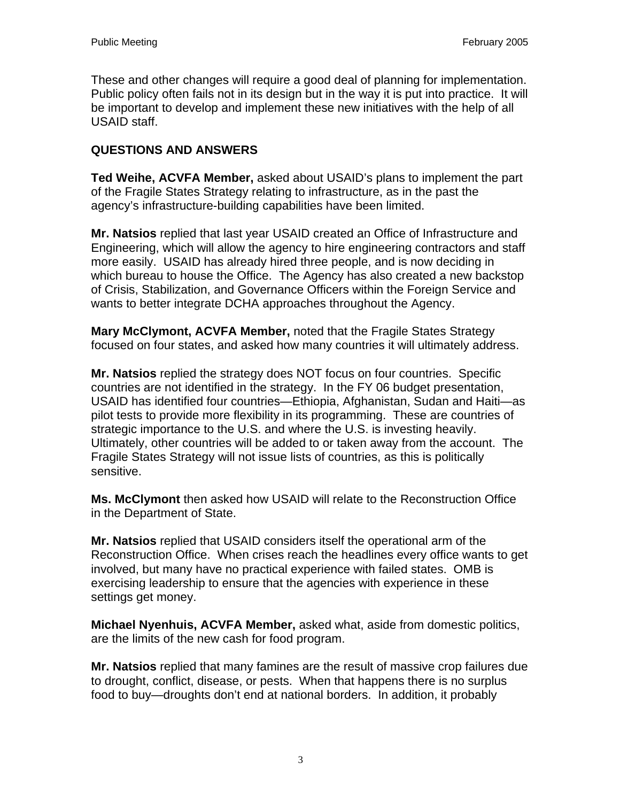These and other changes will require a good deal of planning for implementation. Public policy often fails not in its design but in the way it is put into practice. It will be important to develop and implement these new initiatives with the help of all USAID staff.

## **QUESTIONS AND ANSWERS**

**Ted Weihe, ACVFA Member,** asked about USAID's plans to implement the part of the Fragile States Strategy relating to infrastructure, as in the past the agency's infrastructure-building capabilities have been limited.

**Mr. Natsios** replied that last year USAID created an Office of Infrastructure and Engineering, which will allow the agency to hire engineering contractors and staff more easily. USAID has already hired three people, and is now deciding in which bureau to house the Office. The Agency has also created a new backstop of Crisis, Stabilization, and Governance Officers within the Foreign Service and wants to better integrate DCHA approaches throughout the Agency.

**Mary McClymont, ACVFA Member,** noted that the Fragile States Strategy focused on four states, and asked how many countries it will ultimately address.

**Mr. Natsios** replied the strategy does NOT focus on four countries. Specific countries are not identified in the strategy. In the FY 06 budget presentation, USAID has identified four countries—Ethiopia, Afghanistan, Sudan and Haiti—as pilot tests to provide more flexibility in its programming. These are countries of strategic importance to the U.S. and where the U.S. is investing heavily. Ultimately, other countries will be added to or taken away from the account. The Fragile States Strategy will not issue lists of countries, as this is politically sensitive.

**Ms. McClymont** then asked how USAID will relate to the Reconstruction Office in the Department of State.

**Mr. Natsios** replied that USAID considers itself the operational arm of the Reconstruction Office. When crises reach the headlines every office wants to get involved, but many have no practical experience with failed states. OMB is exercising leadership to ensure that the agencies with experience in these settings get money.

**Michael Nyenhuis, ACVFA Member,** asked what, aside from domestic politics, are the limits of the new cash for food program.

**Mr. Natsios** replied that many famines are the result of massive crop failures due to drought, conflict, disease, or pests. When that happens there is no surplus food to buy—droughts don't end at national borders. In addition, it probably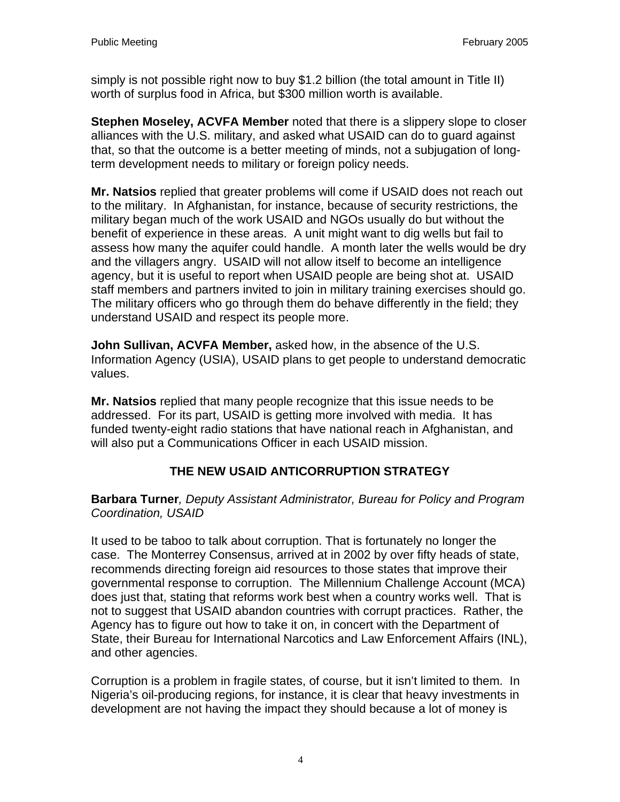simply is not possible right now to buy \$1.2 billion (the total amount in Title II) worth of surplus food in Africa, but \$300 million worth is available.

**Stephen Moseley, ACVFA Member** noted that there is a slippery slope to closer alliances with the U.S. military, and asked what USAID can do to guard against that, so that the outcome is a better meeting of minds, not a subjugation of longterm development needs to military or foreign policy needs.

**Mr. Natsios** replied that greater problems will come if USAID does not reach out to the military. In Afghanistan, for instance, because of security restrictions, the military began much of the work USAID and NGOs usually do but without the benefit of experience in these areas. A unit might want to dig wells but fail to assess how many the aquifer could handle. A month later the wells would be dry and the villagers angry. USAID will not allow itself to become an intelligence agency, but it is useful to report when USAID people are being shot at. USAID staff members and partners invited to join in military training exercises should go. The military officers who go through them do behave differently in the field; they understand USAID and respect its people more.

**John Sullivan, ACVFA Member,** asked how, in the absence of the U.S. Information Agency (USIA), USAID plans to get people to understand democratic values.

**Mr. Natsios** replied that many people recognize that this issue needs to be addressed. For its part, USAID is getting more involved with media. It has funded twenty-eight radio stations that have national reach in Afghanistan, and will also put a Communications Officer in each USAID mission.

# **THE NEW USAID ANTICORRUPTION STRATEGY**

**Barbara Turner***, Deputy Assistant Administrator, Bureau for Policy and Program Coordination, USAID* 

It used to be taboo to talk about corruption. That is fortunately no longer the case. The Monterrey Consensus, arrived at in 2002 by over fifty heads of state, recommends directing foreign aid resources to those states that improve their governmental response to corruption. The Millennium Challenge Account (MCA) does just that, stating that reforms work best when a country works well. That is not to suggest that USAID abandon countries with corrupt practices. Rather, the Agency has to figure out how to take it on, in concert with the Department of State, their Bureau for International Narcotics and Law Enforcement Affairs (INL), and other agencies.

Corruption is a problem in fragile states, of course, but it isn't limited to them. In Nigeria's oil-producing regions, for instance, it is clear that heavy investments in development are not having the impact they should because a lot of money is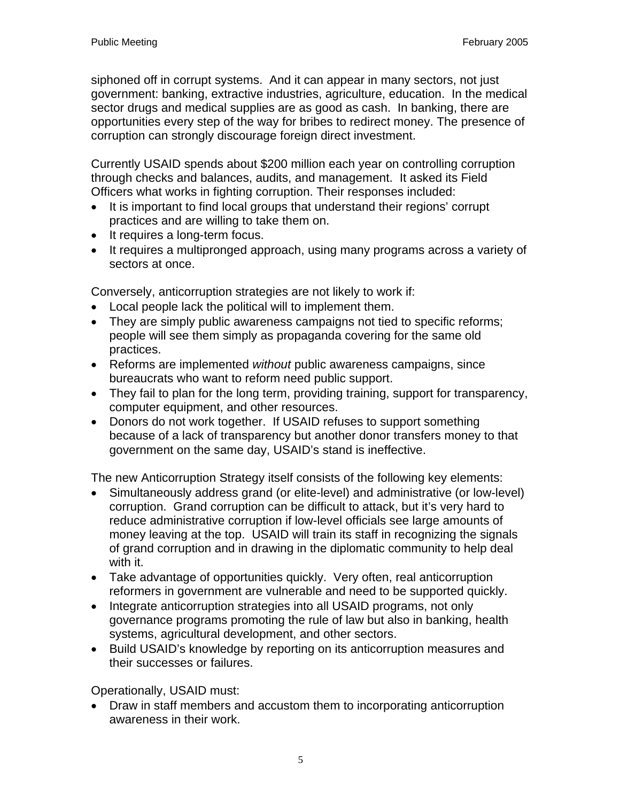siphoned off in corrupt systems. And it can appear in many sectors, not just government: banking, extractive industries, agriculture, education. In the medical sector drugs and medical supplies are as good as cash. In banking, there are opportunities every step of the way for bribes to redirect money. The presence of corruption can strongly discourage foreign direct investment.

Currently USAID spends about \$200 million each year on controlling corruption through checks and balances, audits, and management. It asked its Field Officers what works in fighting corruption. Their responses included:

- It is important to find local groups that understand their regions' corrupt practices and are willing to take them on.
- It requires a long-term focus.
- It requires a multipronged approach, using many programs across a variety of sectors at once.

Conversely, anticorruption strategies are not likely to work if:

- Local people lack the political will to implement them.
- They are simply public awareness campaigns not tied to specific reforms; people will see them simply as propaganda covering for the same old practices.
- Reforms are implemented *without* public awareness campaigns, since bureaucrats who want to reform need public support.
- They fail to plan for the long term, providing training, support for transparency, computer equipment, and other resources.
- Donors do not work together. If USAID refuses to support something because of a lack of transparency but another donor transfers money to that government on the same day, USAID's stand is ineffective.

The new Anticorruption Strategy itself consists of the following key elements:

- Simultaneously address grand (or elite-level) and administrative (or low-level) corruption. Grand corruption can be difficult to attack, but it's very hard to reduce administrative corruption if low-level officials see large amounts of money leaving at the top. USAID will train its staff in recognizing the signals of grand corruption and in drawing in the diplomatic community to help deal with it.
- Take advantage of opportunities quickly. Very often, real anticorruption reformers in government are vulnerable and need to be supported quickly.
- Integrate anticorruption strategies into all USAID programs, not only governance programs promoting the rule of law but also in banking, health systems, agricultural development, and other sectors.
- Build USAID's knowledge by reporting on its anticorruption measures and their successes or failures.

Operationally, USAID must:

• Draw in staff members and accustom them to incorporating anticorruption awareness in their work.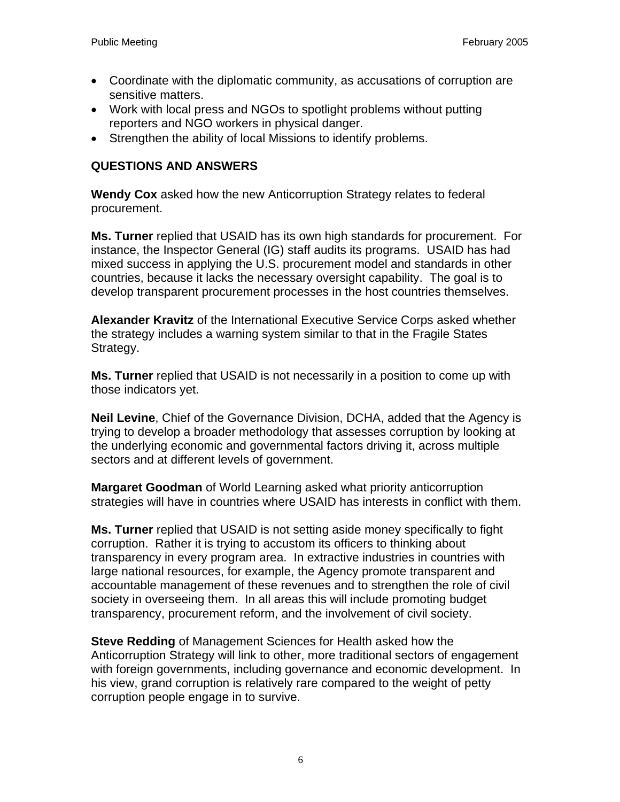- Coordinate with the diplomatic community, as accusations of corruption are sensitive matters.
- Work with local press and NGOs to spotlight problems without putting reporters and NGO workers in physical danger.
- Strengthen the ability of local Missions to identify problems.

## **QUESTIONS AND ANSWERS**

**Wendy Cox** asked how the new Anticorruption Strategy relates to federal procurement.

**Ms. Turner** replied that USAID has its own high standards for procurement. For instance, the Inspector General (IG) staff audits its programs. USAID has had mixed success in applying the U.S. procurement model and standards in other countries, because it lacks the necessary oversight capability. The goal is to develop transparent procurement processes in the host countries themselves.

**Alexander Kravitz** of the International Executive Service Corps asked whether the strategy includes a warning system similar to that in the Fragile States Strategy.

**Ms. Turner** replied that USAID is not necessarily in a position to come up with those indicators yet.

**Neil Levine**, Chief of the Governance Division, DCHA, added that the Agency is trying to develop a broader methodology that assesses corruption by looking at the underlying economic and governmental factors driving it, across multiple sectors and at different levels of government.

**Margaret Goodman** of World Learning asked what priority anticorruption strategies will have in countries where USAID has interests in conflict with them.

**Ms. Turner** replied that USAID is not setting aside money specifically to fight corruption. Rather it is trying to accustom its officers to thinking about transparency in every program area. In extractive industries in countries with large national resources, for example, the Agency promote transparent and accountable management of these revenues and to strengthen the role of civil society in overseeing them. In all areas this will include promoting budget transparency, procurement reform, and the involvement of civil society.

**Steve Redding** of Management Sciences for Health asked how the Anticorruption Strategy will link to other, more traditional sectors of engagement with foreign governments, including governance and economic development. In his view, grand corruption is relatively rare compared to the weight of petty corruption people engage in to survive.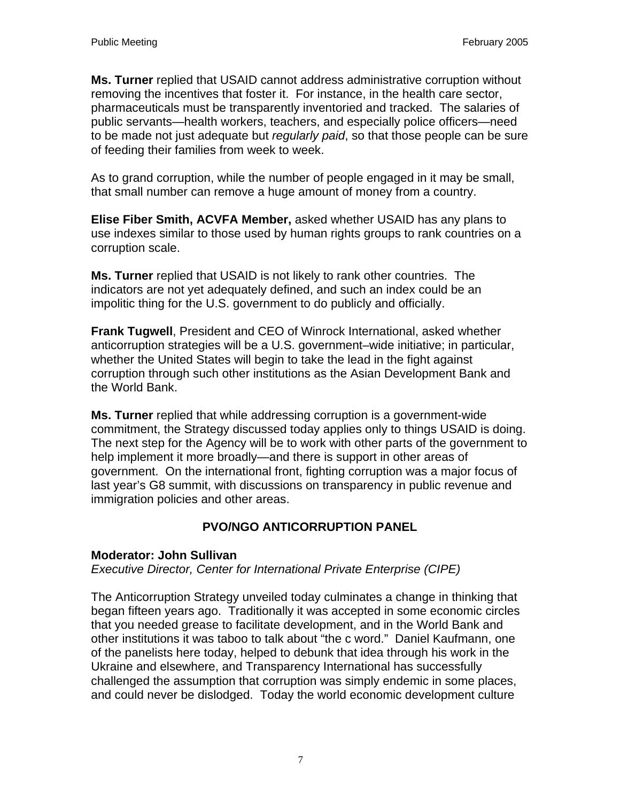**Ms. Turner** replied that USAID cannot address administrative corruption without removing the incentives that foster it. For instance, in the health care sector, pharmaceuticals must be transparently inventoried and tracked. The salaries of public servants—health workers, teachers, and especially police officers—need to be made not just adequate but *regularly paid*, so that those people can be sure of feeding their families from week to week.

As to grand corruption, while the number of people engaged in it may be small, that small number can remove a huge amount of money from a country.

**Elise Fiber Smith, ACVFA Member,** asked whether USAID has any plans to use indexes similar to those used by human rights groups to rank countries on a corruption scale.

**Ms. Turner** replied that USAID is not likely to rank other countries. The indicators are not yet adequately defined, and such an index could be an impolitic thing for the U.S. government to do publicly and officially.

**Frank Tugwell**, President and CEO of Winrock International, asked whether anticorruption strategies will be a U.S. government–wide initiative; in particular, whether the United States will begin to take the lead in the fight against corruption through such other institutions as the Asian Development Bank and the World Bank.

**Ms. Turner** replied that while addressing corruption is a government-wide commitment, the Strategy discussed today applies only to things USAID is doing. The next step for the Agency will be to work with other parts of the government to help implement it more broadly—and there is support in other areas of government. On the international front, fighting corruption was a major focus of last year's G8 summit, with discussions on transparency in public revenue and immigration policies and other areas.

# **PVO/NGO ANTICORRUPTION PANEL**

### **Moderator: John Sullivan**

*Executive Director, Center for International Private Enterprise (CIPE)* 

The Anticorruption Strategy unveiled today culminates a change in thinking that began fifteen years ago. Traditionally it was accepted in some economic circles that you needed grease to facilitate development, and in the World Bank and other institutions it was taboo to talk about "the c word." Daniel Kaufmann, one of the panelists here today, helped to debunk that idea through his work in the Ukraine and elsewhere, and Transparency International has successfully challenged the assumption that corruption was simply endemic in some places, and could never be dislodged. Today the world economic development culture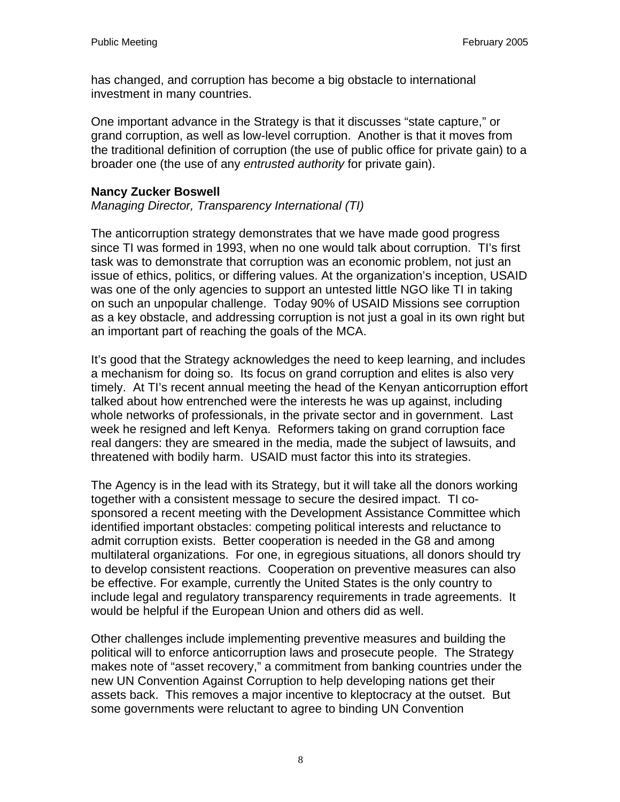has changed, and corruption has become a big obstacle to international investment in many countries.

One important advance in the Strategy is that it discusses "state capture," or grand corruption, as well as low-level corruption. Another is that it moves from the traditional definition of corruption (the use of public office for private gain) to a broader one (the use of any *entrusted authority* for private gain).

#### **Nancy Zucker Boswell**

*Managing Director, Transparency International (TI)* 

The anticorruption strategy demonstrates that we have made good progress since TI was formed in 1993, when no one would talk about corruption. TI's first task was to demonstrate that corruption was an economic problem, not just an issue of ethics, politics, or differing values. At the organization's inception, USAID was one of the only agencies to support an untested little NGO like TI in taking on such an unpopular challenge. Today 90% of USAID Missions see corruption as a key obstacle, and addressing corruption is not just a goal in its own right but an important part of reaching the goals of the MCA.

It's good that the Strategy acknowledges the need to keep learning, and includes a mechanism for doing so. Its focus on grand corruption and elites is also very timely. At TI's recent annual meeting the head of the Kenyan anticorruption effort talked about how entrenched were the interests he was up against, including whole networks of professionals, in the private sector and in government. Last week he resigned and left Kenya. Reformers taking on grand corruption face real dangers: they are smeared in the media, made the subject of lawsuits, and threatened with bodily harm. USAID must factor this into its strategies.

The Agency is in the lead with its Strategy, but it will take all the donors working together with a consistent message to secure the desired impact. TI cosponsored a recent meeting with the Development Assistance Committee which identified important obstacles: competing political interests and reluctance to admit corruption exists. Better cooperation is needed in the G8 and among multilateral organizations. For one, in egregious situations, all donors should try to develop consistent reactions. Cooperation on preventive measures can also be effective. For example, currently the United States is the only country to include legal and regulatory transparency requirements in trade agreements. It would be helpful if the European Union and others did as well.

Other challenges include implementing preventive measures and building the political will to enforce anticorruption laws and prosecute people. The Strategy makes note of "asset recovery," a commitment from banking countries under the new UN Convention Against Corruption to help developing nations get their assets back. This removes a major incentive to kleptocracy at the outset. But some governments were reluctant to agree to binding UN Convention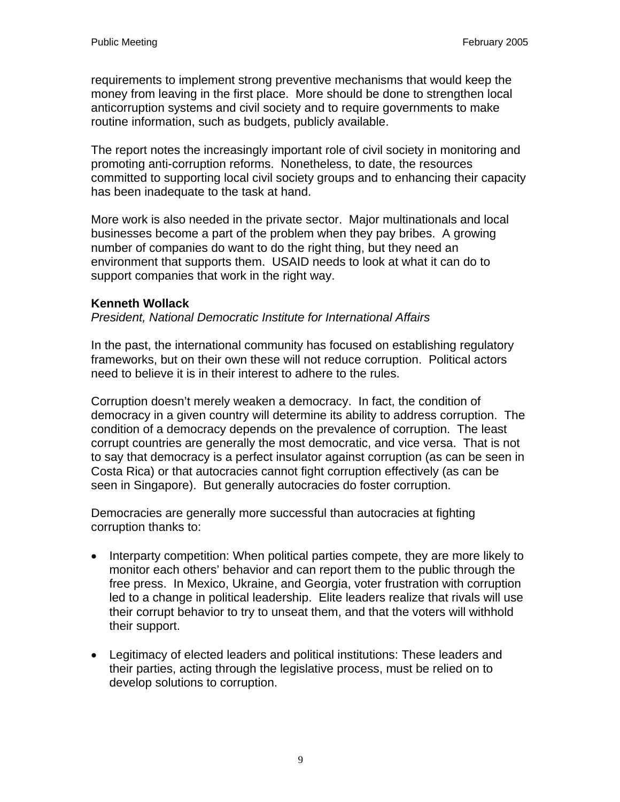requirements to implement strong preventive mechanisms that would keep the money from leaving in the first place. More should be done to strengthen local anticorruption systems and civil society and to require governments to make routine information, such as budgets, publicly available.

The report notes the increasingly important role of civil society in monitoring and promoting anti-corruption reforms. Nonetheless, to date, the resources committed to supporting local civil society groups and to enhancing their capacity has been inadequate to the task at hand.

More work is also needed in the private sector. Major multinationals and local businesses become a part of the problem when they pay bribes. A growing number of companies do want to do the right thing, but they need an environment that supports them. USAID needs to look at what it can do to support companies that work in the right way.

### **Kenneth Wollack**

*President, National Democratic Institute for International Affairs* 

In the past, the international community has focused on establishing regulatory frameworks, but on their own these will not reduce corruption. Political actors need to believe it is in their interest to adhere to the rules.

Corruption doesn't merely weaken a democracy. In fact, the condition of democracy in a given country will determine its ability to address corruption. The condition of a democracy depends on the prevalence of corruption. The least corrupt countries are generally the most democratic, and vice versa. That is not to say that democracy is a perfect insulator against corruption (as can be seen in Costa Rica) or that autocracies cannot fight corruption effectively (as can be seen in Singapore). But generally autocracies do foster corruption.

Democracies are generally more successful than autocracies at fighting corruption thanks to:

- Interparty competition: When political parties compete, they are more likely to monitor each others' behavior and can report them to the public through the free press. In Mexico, Ukraine, and Georgia, voter frustration with corruption led to a change in political leadership. Elite leaders realize that rivals will use their corrupt behavior to try to unseat them, and that the voters will withhold their support.
- Legitimacy of elected leaders and political institutions: These leaders and their parties, acting through the legislative process, must be relied on to develop solutions to corruption.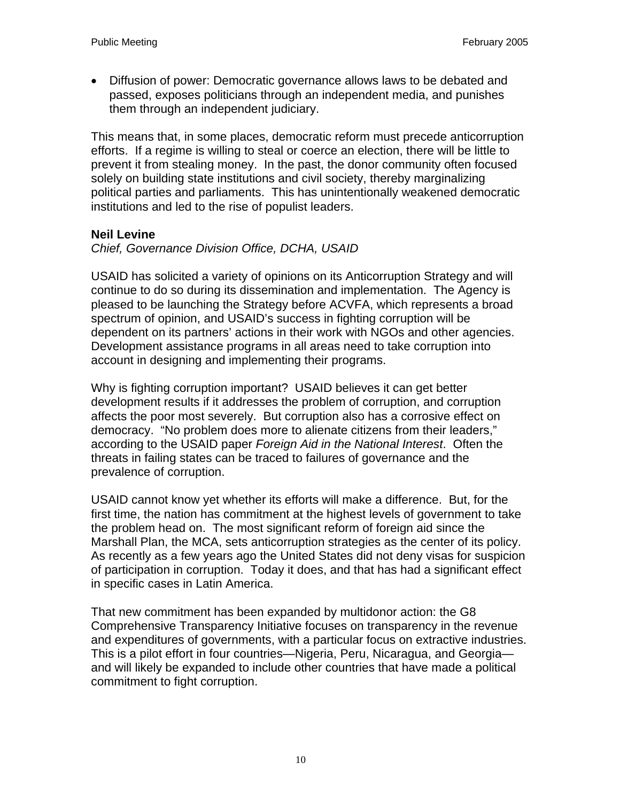• Diffusion of power: Democratic governance allows laws to be debated and passed, exposes politicians through an independent media, and punishes them through an independent judiciary.

This means that, in some places, democratic reform must precede anticorruption efforts. If a regime is willing to steal or coerce an election, there will be little to prevent it from stealing money. In the past, the donor community often focused solely on building state institutions and civil society, thereby marginalizing political parties and parliaments. This has unintentionally weakened democratic institutions and led to the rise of populist leaders.

### **Neil Levine**

*Chief, Governance Division Office, DCHA, USAID* 

USAID has solicited a variety of opinions on its Anticorruption Strategy and will continue to do so during its dissemination and implementation. The Agency is pleased to be launching the Strategy before ACVFA, which represents a broad spectrum of opinion, and USAID's success in fighting corruption will be dependent on its partners' actions in their work with NGOs and other agencies. Development assistance programs in all areas need to take corruption into account in designing and implementing their programs.

Why is fighting corruption important? USAID believes it can get better development results if it addresses the problem of corruption, and corruption affects the poor most severely. But corruption also has a corrosive effect on democracy. "No problem does more to alienate citizens from their leaders," according to the USAID paper *Foreign Aid in the National Interest*. Often the threats in failing states can be traced to failures of governance and the prevalence of corruption.

USAID cannot know yet whether its efforts will make a difference. But, for the first time, the nation has commitment at the highest levels of government to take the problem head on. The most significant reform of foreign aid since the Marshall Plan, the MCA, sets anticorruption strategies as the center of its policy. As recently as a few years ago the United States did not deny visas for suspicion of participation in corruption. Today it does, and that has had a significant effect in specific cases in Latin America.

That new commitment has been expanded by multidonor action: the G8 Comprehensive Transparency Initiative focuses on transparency in the revenue and expenditures of governments, with a particular focus on extractive industries. This is a pilot effort in four countries—Nigeria, Peru, Nicaragua, and Georgia and will likely be expanded to include other countries that have made a political commitment to fight corruption.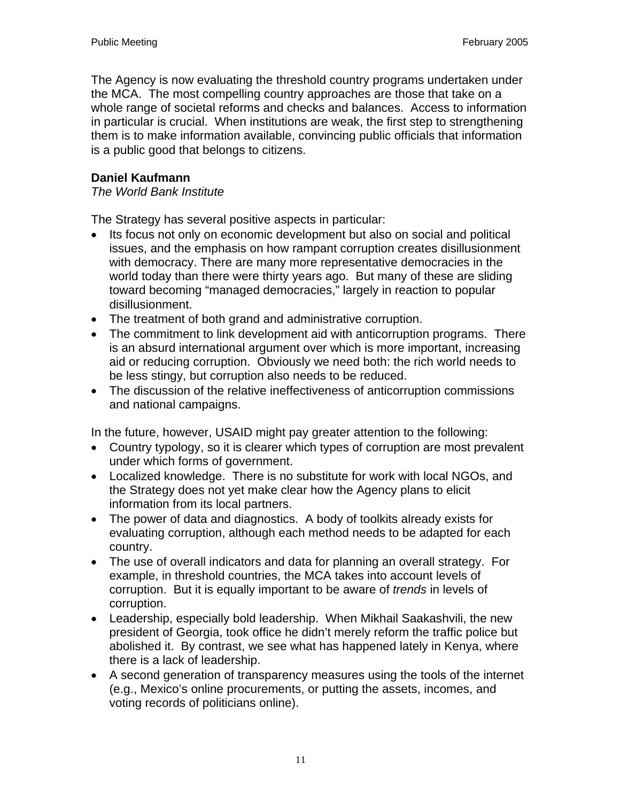The Agency is now evaluating the threshold country programs undertaken under the MCA. The most compelling country approaches are those that take on a whole range of societal reforms and checks and balances. Access to information in particular is crucial. When institutions are weak, the first step to strengthening them is to make information available, convincing public officials that information is a public good that belongs to citizens.

## **Daniel Kaufmann**

### *The World Bank Institute*

The Strategy has several positive aspects in particular:

- Its focus not only on economic development but also on social and political issues, and the emphasis on how rampant corruption creates disillusionment with democracy. There are many more representative democracies in the world today than there were thirty years ago. But many of these are sliding toward becoming "managed democracies," largely in reaction to popular disillusionment.
- The treatment of both grand and administrative corruption.
- The commitment to link development aid with anticorruption programs. There is an absurd international argument over which is more important, increasing aid or reducing corruption. Obviously we need both: the rich world needs to be less stingy, but corruption also needs to be reduced.
- The discussion of the relative ineffectiveness of anticorruption commissions and national campaigns.

In the future, however, USAID might pay greater attention to the following:

- Country typology, so it is clearer which types of corruption are most prevalent under which forms of government.
- Localized knowledge. There is no substitute for work with local NGOs, and the Strategy does not yet make clear how the Agency plans to elicit information from its local partners.
- The power of data and diagnostics. A body of toolkits already exists for evaluating corruption, although each method needs to be adapted for each country.
- The use of overall indicators and data for planning an overall strategy. For example, in threshold countries, the MCA takes into account levels of corruption. But it is equally important to be aware of *trends* in levels of corruption.
- Leadership, especially bold leadership. When Mikhail Saakashvili, the new president of Georgia, took office he didn't merely reform the traffic police but abolished it. By contrast, we see what has happened lately in Kenya, where there is a lack of leadership.
- A second generation of transparency measures using the tools of the internet (e.g., Mexico's online procurements, or putting the assets, incomes, and voting records of politicians online).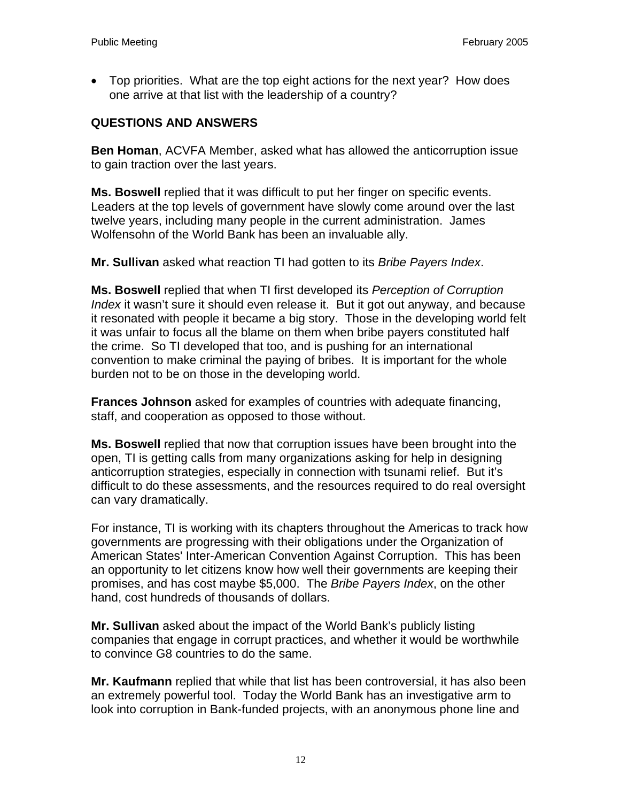• Top priorities. What are the top eight actions for the next year? How does one arrive at that list with the leadership of a country?

## **QUESTIONS AND ANSWERS**

**Ben Homan**, ACVFA Member, asked what has allowed the anticorruption issue to gain traction over the last years.

**Ms. Boswell** replied that it was difficult to put her finger on specific events. Leaders at the top levels of government have slowly come around over the last twelve years, including many people in the current administration. James Wolfensohn of the World Bank has been an invaluable ally.

**Mr. Sullivan** asked what reaction TI had gotten to its *Bribe Payers Index*.

**Ms. Boswell** replied that when TI first developed its *Perception of Corruption Index* it wasn't sure it should even release it. But it got out anyway, and because it resonated with people it became a big story. Those in the developing world felt it was unfair to focus all the blame on them when bribe payers constituted half the crime. So TI developed that too, and is pushing for an international convention to make criminal the paying of bribes. It is important for the whole burden not to be on those in the developing world.

**Frances Johnson** asked for examples of countries with adequate financing, staff, and cooperation as opposed to those without.

**Ms. Boswell** replied that now that corruption issues have been brought into the open, TI is getting calls from many organizations asking for help in designing anticorruption strategies, especially in connection with tsunami relief. But it's difficult to do these assessments, and the resources required to do real oversight can vary dramatically.

For instance, TI is working with its chapters throughout the Americas to track how governments are progressing with their obligations under the Organization of American States' Inter-American Convention Against Corruption. This has been an opportunity to let citizens know how well their governments are keeping their promises, and has cost maybe \$5,000. The *Bribe Payers Index*, on the other hand, cost hundreds of thousands of dollars.

**Mr. Sullivan** asked about the impact of the World Bank's publicly listing companies that engage in corrupt practices, and whether it would be worthwhile to convince G8 countries to do the same.

**Mr. Kaufmann** replied that while that list has been controversial, it has also been an extremely powerful tool. Today the World Bank has an investigative arm to look into corruption in Bank-funded projects, with an anonymous phone line and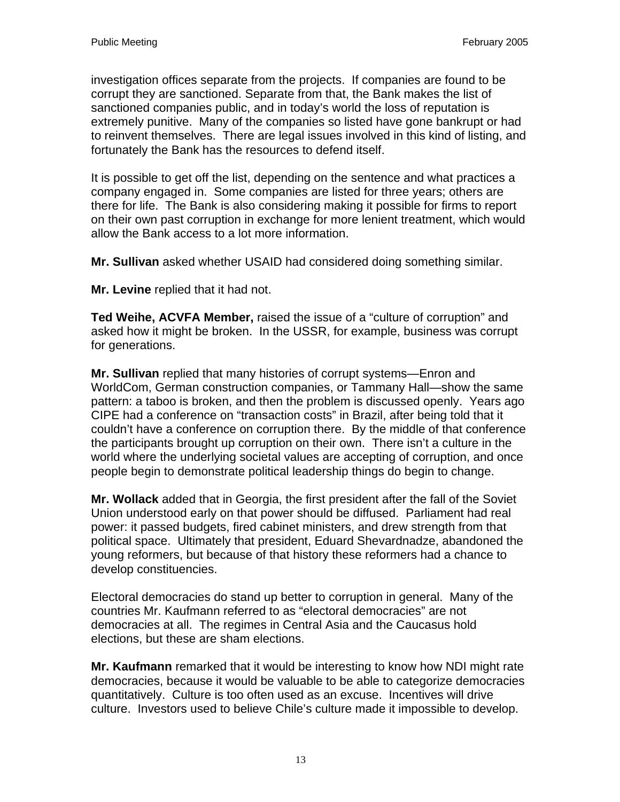investigation offices separate from the projects. If companies are found to be corrupt they are sanctioned. Separate from that, the Bank makes the list of sanctioned companies public, and in today's world the loss of reputation is extremely punitive. Many of the companies so listed have gone bankrupt or had to reinvent themselves. There are legal issues involved in this kind of listing, and fortunately the Bank has the resources to defend itself.

It is possible to get off the list, depending on the sentence and what practices a company engaged in. Some companies are listed for three years; others are there for life. The Bank is also considering making it possible for firms to report on their own past corruption in exchange for more lenient treatment, which would allow the Bank access to a lot more information.

**Mr. Sullivan** asked whether USAID had considered doing something similar.

**Mr. Levine** replied that it had not.

**Ted Weihe, ACVFA Member,** raised the issue of a "culture of corruption" and asked how it might be broken. In the USSR, for example, business was corrupt for generations.

**Mr. Sullivan** replied that many histories of corrupt systems—Enron and WorldCom, German construction companies, or Tammany Hall—show the same pattern: a taboo is broken, and then the problem is discussed openly. Years ago CIPE had a conference on "transaction costs" in Brazil, after being told that it couldn't have a conference on corruption there. By the middle of that conference the participants brought up corruption on their own. There isn't a culture in the world where the underlying societal values are accepting of corruption, and once people begin to demonstrate political leadership things do begin to change.

**Mr. Wollack** added that in Georgia, the first president after the fall of the Soviet Union understood early on that power should be diffused. Parliament had real power: it passed budgets, fired cabinet ministers, and drew strength from that political space. Ultimately that president, Eduard Shevardnadze, abandoned the young reformers, but because of that history these reformers had a chance to develop constituencies.

Electoral democracies do stand up better to corruption in general. Many of the countries Mr. Kaufmann referred to as "electoral democracies" are not democracies at all. The regimes in Central Asia and the Caucasus hold elections, but these are sham elections.

**Mr. Kaufmann** remarked that it would be interesting to know how NDI might rate democracies, because it would be valuable to be able to categorize democracies quantitatively. Culture is too often used as an excuse. Incentives will drive culture. Investors used to believe Chile's culture made it impossible to develop.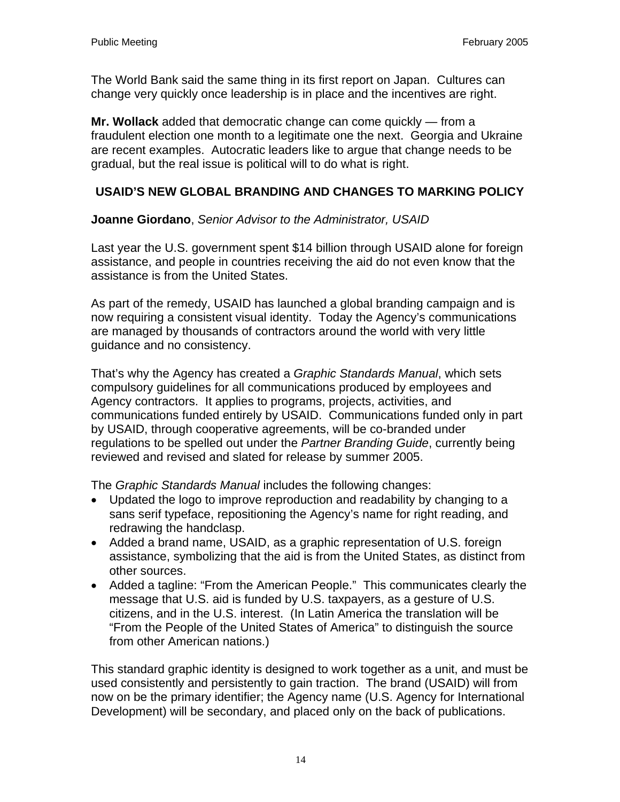The World Bank said the same thing in its first report on Japan. Cultures can change very quickly once leadership is in place and the incentives are right.

**Mr. Wollack** added that democratic change can come quickly — from a fraudulent election one month to a legitimate one the next. Georgia and Ukraine are recent examples. Autocratic leaders like to argue that change needs to be gradual, but the real issue is political will to do what is right.

## **USAID'S NEW GLOBAL BRANDING AND CHANGES TO MARKING POLICY**

## **Joanne Giordano**, *Senior Advisor to the Administrator, USAID*

Last year the U.S. government spent \$14 billion through USAID alone for foreign assistance, and people in countries receiving the aid do not even know that the assistance is from the United States.

As part of the remedy, USAID has launched a global branding campaign and is now requiring a consistent visual identity. Today the Agency's communications are managed by thousands of contractors around the world with very little guidance and no consistency.

That's why the Agency has created a *Graphic Standards Manual*, which sets compulsory guidelines for all communications produced by employees and Agency contractors. It applies to programs, projects, activities, and communications funded entirely by USAID. Communications funded only in part by USAID, through cooperative agreements, will be co-branded under regulations to be spelled out under the *Partner Branding Guide*, currently being reviewed and revised and slated for release by summer 2005.

The *Graphic Standards Manual* includes the following changes:

- Updated the logo to improve reproduction and readability by changing to a sans serif typeface, repositioning the Agency's name for right reading, and redrawing the handclasp.
- Added a brand name, USAID, as a graphic representation of U.S. foreign assistance, symbolizing that the aid is from the United States, as distinct from other sources.
- Added a tagline: "From the American People." This communicates clearly the message that U.S. aid is funded by U.S. taxpayers, as a gesture of U.S. citizens, and in the U.S. interest. (In Latin America the translation will be "From the People of the United States of America" to distinguish the source from other American nations.)

This standard graphic identity is designed to work together as a unit, and must be used consistently and persistently to gain traction. The brand (USAID) will from now on be the primary identifier; the Agency name (U.S. Agency for International Development) will be secondary, and placed only on the back of publications.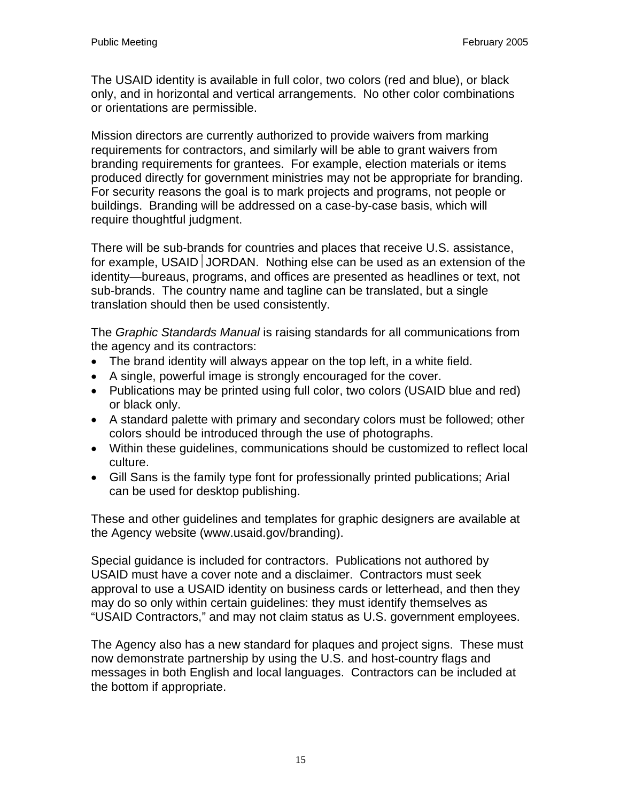The USAID identity is available in full color, two colors (red and blue), or black only, and in horizontal and vertical arrangements. No other color combinations or orientations are permissible.

Mission directors are currently authorized to provide waivers from marking requirements for contractors, and similarly will be able to grant waivers from branding requirements for grantees. For example, election materials or items produced directly for government ministries may not be appropriate for branding. For security reasons the goal is to mark projects and programs, not people or buildings. Branding will be addressed on a case-by-case basis, which will require thoughtful judgment.

There will be sub-brands for countries and places that receive U.S. assistance, for example, USAID JORDAN. Nothing else can be used as an extension of the identity—bureaus, programs, and offices are presented as headlines or text, not sub-brands. The country name and tagline can be translated, but a single translation should then be used consistently.

The *Graphic Standards Manual* is raising standards for all communications from the agency and its contractors:

- The brand identity will always appear on the top left, in a white field.
- A single, powerful image is strongly encouraged for the cover.
- Publications may be printed using full color, two colors (USAID blue and red) or black only.
- A standard palette with primary and secondary colors must be followed; other colors should be introduced through the use of photographs.
- Within these guidelines, communications should be customized to reflect local culture.
- Gill Sans is the family type font for professionally printed publications; Arial can be used for desktop publishing.

These and other guidelines and templates for graphic designers are available at the Agency website (www.usaid.gov/branding).

Special guidance is included for contractors. Publications not authored by USAID must have a cover note and a disclaimer. Contractors must seek approval to use a USAID identity on business cards or letterhead, and then they may do so only within certain guidelines: they must identify themselves as "USAID Contractors," and may not claim status as U.S. government employees.

The Agency also has a new standard for plaques and project signs. These must now demonstrate partnership by using the U.S. and host-country flags and messages in both English and local languages. Contractors can be included at the bottom if appropriate.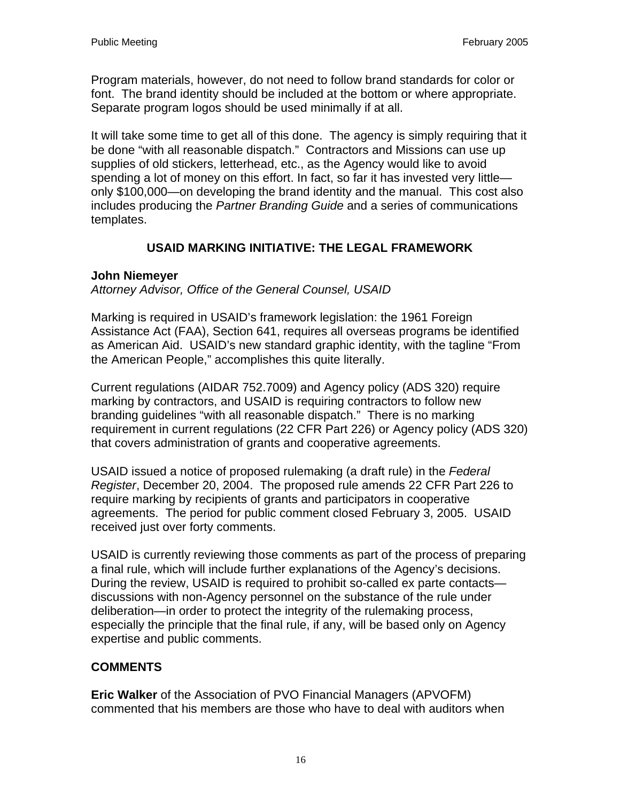Program materials, however, do not need to follow brand standards for color or font. The brand identity should be included at the bottom or where appropriate. Separate program logos should be used minimally if at all.

It will take some time to get all of this done. The agency is simply requiring that it be done "with all reasonable dispatch." Contractors and Missions can use up supplies of old stickers, letterhead, etc., as the Agency would like to avoid spending a lot of money on this effort. In fact, so far it has invested very little only \$100,000—on developing the brand identity and the manual. This cost also includes producing the *Partner Branding Guide* and a series of communications templates.

# **USAID MARKING INITIATIVE: THE LEGAL FRAMEWORK**

### **John Niemeyer**

*Attorney Advisor, Office of the General Counsel, USAID* 

Marking is required in USAID's framework legislation: the 1961 Foreign Assistance Act (FAA), Section 641, requires all overseas programs be identified as American Aid. USAID's new standard graphic identity, with the tagline "From the American People," accomplishes this quite literally.

Current regulations (AIDAR 752.7009) and Agency policy (ADS 320) require marking by contractors, and USAID is requiring contractors to follow new branding guidelines "with all reasonable dispatch." There is no marking requirement in current regulations (22 CFR Part 226) or Agency policy (ADS 320) that covers administration of grants and cooperative agreements.

USAID issued a notice of proposed rulemaking (a draft rule) in the *Federal Register*, December 20, 2004. The proposed rule amends 22 CFR Part 226 to require marking by recipients of grants and participators in cooperative agreements. The period for public comment closed February 3, 2005. USAID received just over forty comments.

USAID is currently reviewing those comments as part of the process of preparing a final rule, which will include further explanations of the Agency's decisions. During the review, USAID is required to prohibit so-called ex parte contacts discussions with non-Agency personnel on the substance of the rule under deliberation—in order to protect the integrity of the rulemaking process, especially the principle that the final rule, if any, will be based only on Agency expertise and public comments.

# **COMMENTS**

**Eric Walker** of the Association of PVO Financial Managers (APVOFM) commented that his members are those who have to deal with auditors when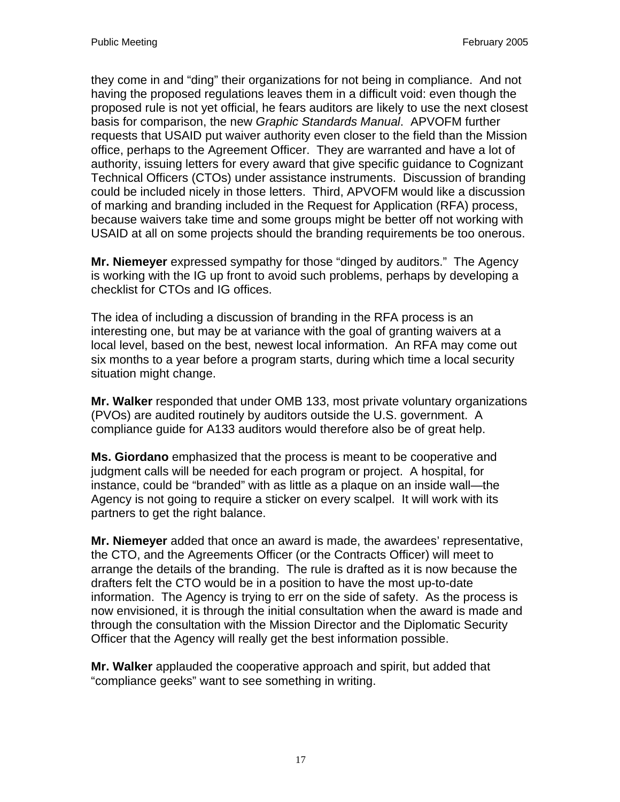they come in and "ding" their organizations for not being in compliance. And not having the proposed regulations leaves them in a difficult void: even though the proposed rule is not yet official, he fears auditors are likely to use the next closest basis for comparison, the new *Graphic Standards Manual*. APVOFM further requests that USAID put waiver authority even closer to the field than the Mission office, perhaps to the Agreement Officer. They are warranted and have a lot of authority, issuing letters for every award that give specific guidance to Cognizant Technical Officers (CTOs) under assistance instruments. Discussion of branding could be included nicely in those letters. Third, APVOFM would like a discussion of marking and branding included in the Request for Application (RFA) process, because waivers take time and some groups might be better off not working with USAID at all on some projects should the branding requirements be too onerous.

**Mr. Niemeyer** expressed sympathy for those "dinged by auditors." The Agency is working with the IG up front to avoid such problems, perhaps by developing a checklist for CTOs and IG offices.

The idea of including a discussion of branding in the RFA process is an interesting one, but may be at variance with the goal of granting waivers at a local level, based on the best, newest local information. An RFA may come out six months to a year before a program starts, during which time a local security situation might change.

**Mr. Walker** responded that under OMB 133, most private voluntary organizations (PVOs) are audited routinely by auditors outside the U.S. government. A compliance guide for A133 auditors would therefore also be of great help.

**Ms. Giordano** emphasized that the process is meant to be cooperative and judgment calls will be needed for each program or project. A hospital, for instance, could be "branded" with as little as a plaque on an inside wall—the Agency is not going to require a sticker on every scalpel. It will work with its partners to get the right balance.

**Mr. Niemeyer** added that once an award is made, the awardees' representative, the CTO, and the Agreements Officer (or the Contracts Officer) will meet to arrange the details of the branding. The rule is drafted as it is now because the drafters felt the CTO would be in a position to have the most up-to-date information. The Agency is trying to err on the side of safety. As the process is now envisioned, it is through the initial consultation when the award is made and through the consultation with the Mission Director and the Diplomatic Security Officer that the Agency will really get the best information possible.

**Mr. Walker** applauded the cooperative approach and spirit, but added that "compliance geeks" want to see something in writing.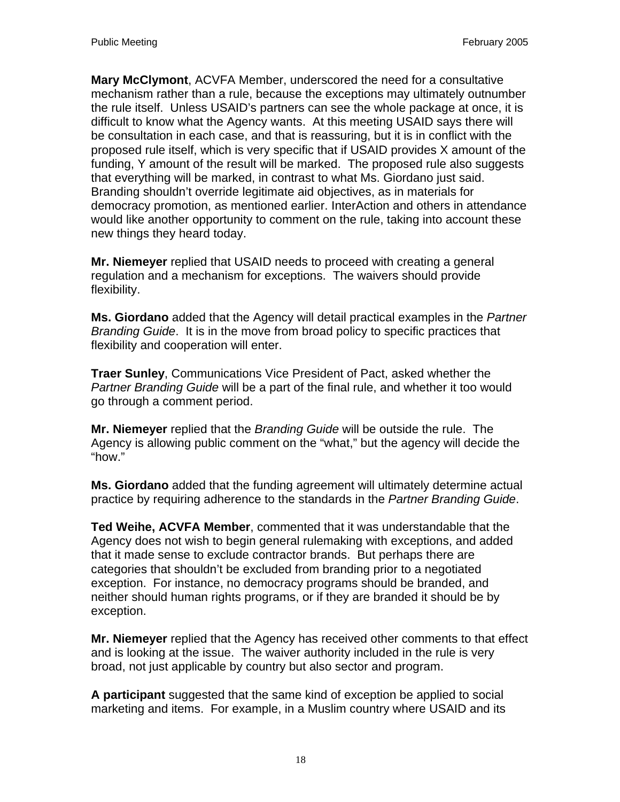**Mary McClymont**, ACVFA Member, underscored the need for a consultative mechanism rather than a rule, because the exceptions may ultimately outnumber the rule itself. Unless USAID's partners can see the whole package at once, it is difficult to know what the Agency wants. At this meeting USAID says there will be consultation in each case, and that is reassuring, but it is in conflict with the proposed rule itself, which is very specific that if USAID provides X amount of the funding, Y amount of the result will be marked. The proposed rule also suggests that everything will be marked, in contrast to what Ms. Giordano just said. Branding shouldn't override legitimate aid objectives, as in materials for democracy promotion, as mentioned earlier. InterAction and others in attendance would like another opportunity to comment on the rule, taking into account these new things they heard today.

**Mr. Niemeyer** replied that USAID needs to proceed with creating a general regulation and a mechanism for exceptions. The waivers should provide flexibility.

**Ms. Giordano** added that the Agency will detail practical examples in the *Partner Branding Guide*. It is in the move from broad policy to specific practices that flexibility and cooperation will enter.

**Traer Sunley**, Communications Vice President of Pact, asked whether the *Partner Branding Guide* will be a part of the final rule, and whether it too would go through a comment period.

**Mr. Niemeyer** replied that the *Branding Guide* will be outside the rule. The Agency is allowing public comment on the "what," but the agency will decide the "how."

**Ms. Giordano** added that the funding agreement will ultimately determine actual practice by requiring adherence to the standards in the *Partner Branding Guide*.

**Ted Weihe, ACVFA Member**, commented that it was understandable that the Agency does not wish to begin general rulemaking with exceptions, and added that it made sense to exclude contractor brands. But perhaps there are categories that shouldn't be excluded from branding prior to a negotiated exception. For instance, no democracy programs should be branded, and neither should human rights programs, or if they are branded it should be by exception.

**Mr. Niemeyer** replied that the Agency has received other comments to that effect and is looking at the issue. The waiver authority included in the rule is very broad, not just applicable by country but also sector and program.

**A participant** suggested that the same kind of exception be applied to social marketing and items. For example, in a Muslim country where USAID and its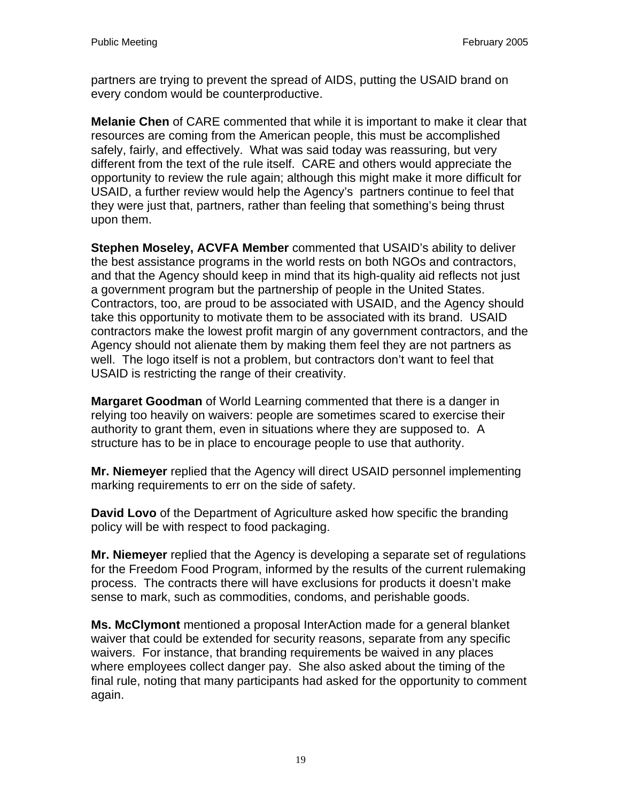partners are trying to prevent the spread of AIDS, putting the USAID brand on every condom would be counterproductive.

**Melanie Chen** of CARE commented that while it is important to make it clear that resources are coming from the American people, this must be accomplished safely, fairly, and effectively. What was said today was reassuring, but very different from the text of the rule itself. CARE and others would appreciate the opportunity to review the rule again; although this might make it more difficult for USAID, a further review would help the Agency's partners continue to feel that they were just that, partners, rather than feeling that something's being thrust upon them.

**Stephen Moseley, ACVFA Member** commented that USAID's ability to deliver the best assistance programs in the world rests on both NGOs and contractors, and that the Agency should keep in mind that its high-quality aid reflects not just a government program but the partnership of people in the United States. Contractors, too, are proud to be associated with USAID, and the Agency should take this opportunity to motivate them to be associated with its brand. USAID contractors make the lowest profit margin of any government contractors, and the Agency should not alienate them by making them feel they are not partners as well. The logo itself is not a problem, but contractors don't want to feel that USAID is restricting the range of their creativity.

**Margaret Goodman** of World Learning commented that there is a danger in relying too heavily on waivers: people are sometimes scared to exercise their authority to grant them, even in situations where they are supposed to. A structure has to be in place to encourage people to use that authority.

**Mr. Niemeyer** replied that the Agency will direct USAID personnel implementing marking requirements to err on the side of safety.

**David Lovo** of the Department of Agriculture asked how specific the branding policy will be with respect to food packaging.

**Mr. Niemeyer** replied that the Agency is developing a separate set of regulations for the Freedom Food Program, informed by the results of the current rulemaking process. The contracts there will have exclusions for products it doesn't make sense to mark, such as commodities, condoms, and perishable goods.

**Ms. McClymont** mentioned a proposal InterAction made for a general blanket waiver that could be extended for security reasons, separate from any specific waivers. For instance, that branding requirements be waived in any places where employees collect danger pay. She also asked about the timing of the final rule, noting that many participants had asked for the opportunity to comment again.